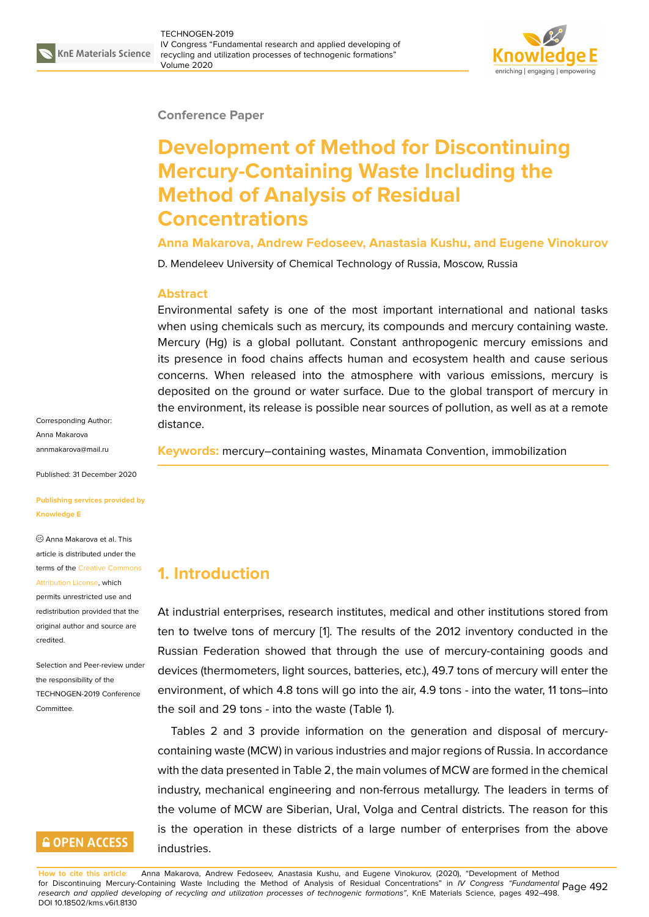

#### **Conference Paper**

# **Development of Method for Discontinuing Mercury-Containing Waste Including the Method of Analysis of Residual Concentrations**

**Anna Makarova, Andrew Fedoseev, Anastasia Kushu, and Eugene Vinokurov**

D. Mendeleev University of Chemical Technology of Russia, Moscow, Russia

#### **Abstract**

Environmental safety is one of the most important international and national tasks when using chemicals such as mercury, its compounds and mercury containing waste. Mercury (Hg) is a global pollutant. Constant anthropogenic mercury emissions and its presence in food chains affects human and ecosystem health and cause serious concerns. When released into the atmosphere with various emissions, mercury is deposited on the ground or water surface. Due to the global transport of mercury in the environment, its release is possible near sources of pollution, as well as at a remote distance.

**Keywords:** mercury–containing wastes, Minamata Convention, immobilization

**1. Introduction**

permits unrestricted use and redistribution provided that the original auth[or and source are](https://creativecommons.org/licenses/by/4.0/) [credited.](https://creativecommons.org/licenses/by/4.0/)

Selection and Peer-review under the responsibility of the TECHNOGEN-2019 Conference Committee.

## **GOPEN ACCESS**

At industrial enterprises, research institutes, medical and other institutions stored from ten to twelve tons of mercury [1]. The results of the 2012 inventory conducted in the Russian Federation showed that through the use of mercury-containing goods and devices (thermometers, light sources, batteries, etc.), 49.7 tons of mercury will enter the environment, of which 4.8 tons [w](#page-5-0)ill go into the air, 4.9 tons - into the water, 11 tons–into the soil and 29 tons - into the waste (Table 1).

Tables 2 and 3 provide information on the generation and disposal of mercurycontaining waste (MCW) in various industries and major regions of Russia. In accordance with the data presented in Table 2, the main volumes of MCW are formed in the chemical industry, mechanical engineering and non-ferrous metallurgy. The leaders in terms of the volume of MCW are Siberian, Ural, Volga and Central districts. The reason for this is the operation in these districts of a large number of enterprises from the above industries.

Corresponding Author: Anna Makarova annmakarova@mail.ru

Published: 31 December 2020

**[Publishing services pr](mailto:annmakarova@mail.ru)ovided by Knowledge E**

Anna Makarova et al. This article is distributed under the terms of the Creative Commons Attribution License, which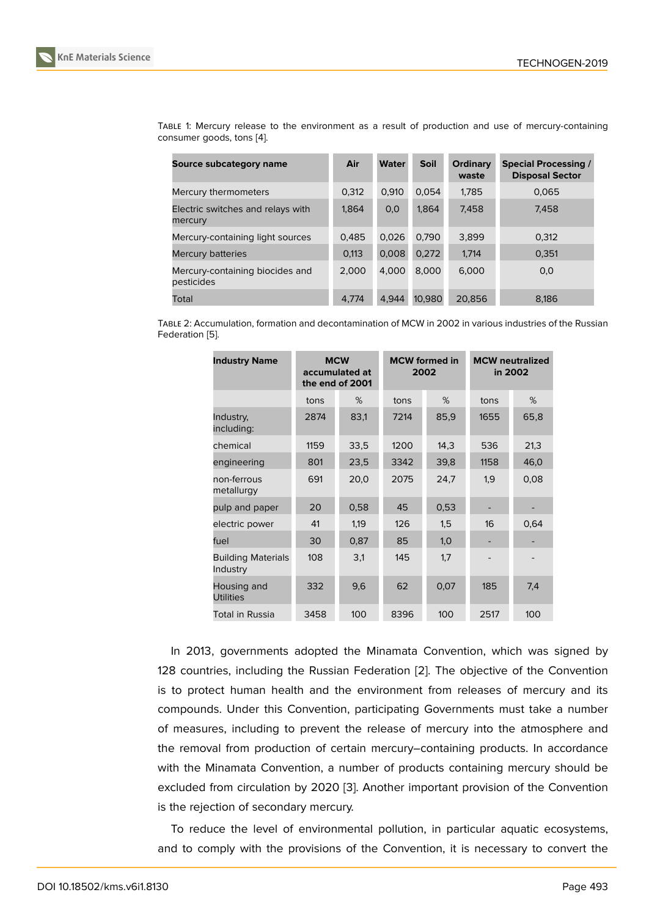TABLE 1: Mercury release to the environment as a result of production and use of mercury-containing consumer goods, tons [4].

| Source subcategory name                       | Air   | <b>Water</b> | <b>Soil</b> | Ordinary<br>waste | <b>Special Processing /</b><br><b>Disposal Sector</b> |
|-----------------------------------------------|-------|--------------|-------------|-------------------|-------------------------------------------------------|
| Mercury thermometers                          | 0,312 | 0.910        | 0.054       | 1,785             | 0.065                                                 |
| Electric switches and relays with<br>mercury  | 1,864 | 0,0          | 1,864       | 7,458             | 7,458                                                 |
| Mercury-containing light sources              | 0.485 | 0,026        | 0.790       | 3,899             | 0.312                                                 |
| <b>Mercury batteries</b>                      | 0,113 | 0,008        | 0,272       | 1,714             | 0,351                                                 |
| Mercury-containing biocides and<br>pesticides | 2.000 | 4.000        | 8.000       | 6,000             | 0,0                                                   |
| Total                                         | 4.774 | 4.944        | 10,980      | 20.856            | 8.186                                                 |

TABLE 2: Accumulation, formation and decontamination of MCW in 2002 in various industries of the Russian Federation [5].

| <b>Industry Name</b>                  |      | <b>MCW</b><br>accumulated at<br>the end of 2001 | <b>MCW</b> formed in<br>2002 |      | <b>MCW</b> neutralized<br>in 2002 |      |
|---------------------------------------|------|-------------------------------------------------|------------------------------|------|-----------------------------------|------|
|                                       | tons | %                                               | tons                         | %    | tons                              | %    |
| Industry,<br>including:               | 2874 | 83,1                                            | 7214                         | 85,9 | 1655                              | 65,8 |
| chemical                              | 1159 | 33,5                                            | 1200                         | 14,3 | 536                               | 21,3 |
| engineering                           | 801  | 23,5                                            | 3342                         | 39,8 | 1158                              | 46,0 |
| non-ferrous<br>metallurgy             | 691  | 20,0                                            | 2075                         | 24,7 | 1,9                               | 0,08 |
| pulp and paper                        | 20   | 0,58                                            | 45                           | 0,53 |                                   |      |
| electric power                        | 41   | 1,19                                            | 126                          | 1,5  | 16                                | 0,64 |
| fuel                                  | 30   | 0,87                                            | 85                           | 1,0  |                                   |      |
| <b>Building Materials</b><br>Industry | 108  | 3,1                                             | 145                          | 1,7  |                                   |      |
| Housing and<br><b>Utilities</b>       | 332  | 9,6                                             | 62                           | 0,07 | 185                               | 7,4  |
| Total in Russia                       | 3458 | 100                                             | 8396                         | 100  | 2517                              | 100  |

In 2013, governments adopted the Minamata Convention, which was signed by 128 countries, including the Russian Federation [2]. The objective of the Convention is to protect human health and the environment from releases of mercury and its compounds. Under this Convention, participating Governments must take a number of measures, including to prevent the release o[f](#page-5-1) mercury into the atmosphere and the removal from production of certain mercury–containing products. In accordance with the Minamata Convention, a number of products containing mercury should be excluded from circulation by 2020 [3]. Another important provision of the Convention is the rejection of secondary mercury.

To reduce the level of environmental pollution, in particular aquatic ecosystems, and to comply with the provisions [o](#page-5-2)f the Convention, it is necessary to convert the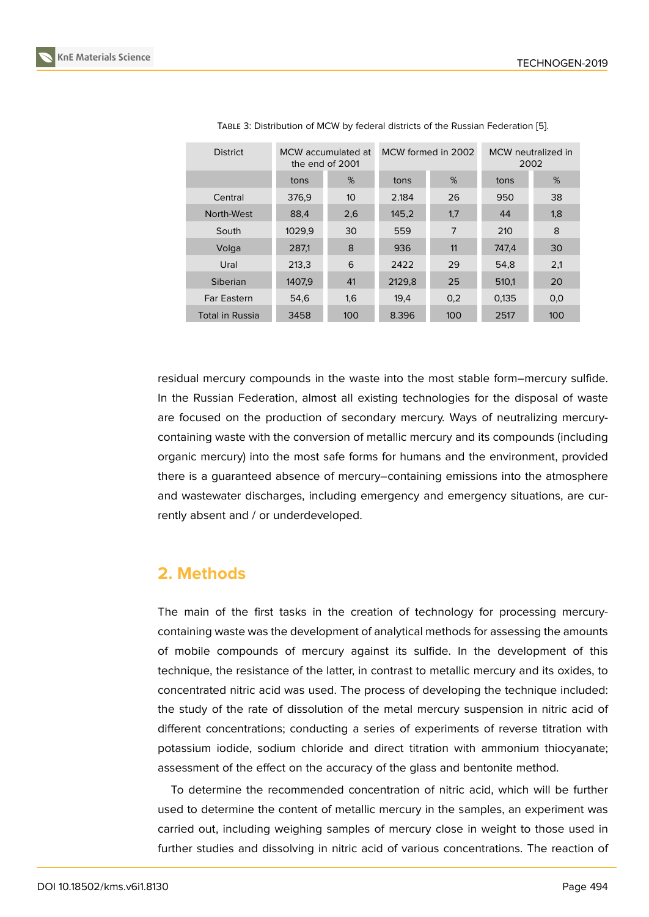| <b>District</b>    | MCW accumulated at<br>the end of 2001 |                 |        | MCW formed in 2002 | MCW neutralized in<br>2002 |     |
|--------------------|---------------------------------------|-----------------|--------|--------------------|----------------------------|-----|
|                    | tons                                  | %               | tons   | %                  | tons                       | %   |
| Central            | 376,9                                 | 10 <sup>°</sup> | 2.184  | 26                 | 950                        | 38  |
| North-West         | 88,4                                  | 2,6             | 145,2  | 1,7                | 44                         | 1,8 |
| South              | 1029,9                                | 30              | 559    | 7                  | 210                        | 8   |
| Volga              | 287,1                                 | 8               | 936    | 11                 | 747.4                      | 30  |
| Ural               | 213,3                                 | 6               | 2422   | 29                 | 54.8                       | 2,1 |
| Siberian           | 1407,9                                | 41              | 2129,8 | 25                 | 510,1                      | 20  |
| <b>Far Eastern</b> | 54,6                                  | 1,6             | 19,4   | 0,2                | 0,135                      | 0,0 |
| Total in Russia    | 3458                                  | 100             | 8.396  | 100                | 2517                       | 100 |

TABLE 3: Distribution of MCW by federal districts of the Russian Federation [5].

residual mercury compounds in the waste into the most stable form–mercury sulfide. In the Russian Federation, almost all existing technologies for the disposal of waste are focused on the production of secondary mercury. Ways of neutralizing mercurycontaining waste with the conversion of metallic mercury and its compounds (including organic mercury) into the most safe forms for humans and the environment, provided there is a guaranteed absence of mercury–containing emissions into the atmosphere and wastewater discharges, including emergency and emergency situations, are currently absent and / or underdeveloped.

## **2. Methods**

The main of the first tasks in the creation of technology for processing mercurycontaining waste was the development of analytical methods for assessing the amounts of mobile compounds of mercury against its sulfide. In the development of this technique, the resistance of the latter, in contrast to metallic mercury and its oxides, to concentrated nitric acid was used. The process of developing the technique included: the study of the rate of dissolution of the metal mercury suspension in nitric acid of different concentrations; conducting a series of experiments of reverse titration with potassium iodide, sodium chloride and direct titration with ammonium thiocyanate; assessment of the effect on the accuracy of the glass and bentonite method.

To determine the recommended concentration of nitric acid, which will be further used to determine the content of metallic mercury in the samples, an experiment was carried out, including weighing samples of mercury close in weight to those used in further studies and dissolving in nitric acid of various concentrations. The reaction of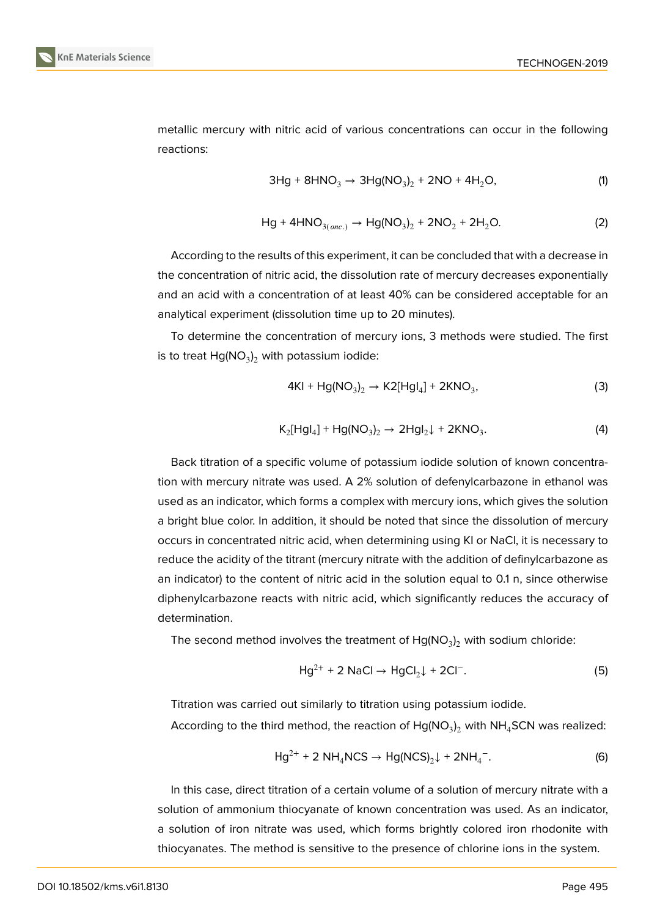

metallic mercury with nitric acid of various concentrations can occur in the following reactions:

$$
3Hg + 8HNO3 \to 3Hg(NO3)2 + 2NO + 4H2O, \t(1)
$$

$$
Hg + 4HNO_{3(one.)} \to Hg(NO_3)_2 + 2NO_2 + 2H_2O.
$$
 (2)

According to the results of this experiment, it can be concluded that with a decrease in the concentration of nitric acid, the dissolution rate of mercury decreases exponentially and an acid with a concentration of at least 40% can be considered acceptable for an analytical experiment (dissolution time up to 20 minutes).

To determine the concentration of mercury ions, 3 methods were studied. The first is to treat  ${\sf Hg}({\sf NO}_3)_2$  with potassium iodide:

$$
4KI + Hg(NO_3)_2 \rightarrow K2[Hg1_4] + 2KNO_3,
$$
\n(3)

$$
K_2[Hgl_4] + Hg(NO_3)_2 \rightarrow 2Hgl_2\downarrow + 2KNO_3. \tag{4}
$$

Back titration of a specific volume of potassium iodide solution of known concentration with mercury nitrate was used. A 2% solution of defenylcarbazone in ethanol was used as an indicator, which forms a complex with mercury ions, which gives the solution a bright blue color. In addition, it should be noted that since the dissolution of mercury occurs in concentrated nitric acid, when determining using KI or NaCl, it is necessary to reduce the acidity of the titrant (mercury nitrate with the addition of definylcarbazone as an indicator) to the content of nitric acid in the solution equal to 0.1 n, since otherwise diphenylcarbazone reacts with nitric acid, which significantly reduces the accuracy of determination.

The second method involves the treatment of  $Hg(NO<sub>3</sub>)<sub>2</sub>$  with sodium chloride:

$$
Hg^{2+} + 2 \text{ NaCl} \rightarrow HgCl_2 \downarrow + 2Cl^-.
$$
 (5)

Titration was carried out similarly to titration using potassium iodide.

According to the third method, the reaction of  $\mathsf{Hg}(\mathsf{NO}_3)_2$  with  $\mathsf{NH}_4$ SCN was realized:

$$
Hg^{2+} + 2 NH_4NCS \to Hg(NCS)_2 \downarrow + 2NH_4^-.
$$
 (6)

In this case, direct titration of a certain volume of a solution of mercury nitrate with a solution of ammonium thiocyanate of known concentration was used. As an indicator, a solution of iron nitrate was used, which forms brightly colored iron rhodonite with thiocyanates. The method is sensitive to the presence of chlorine ions in the system.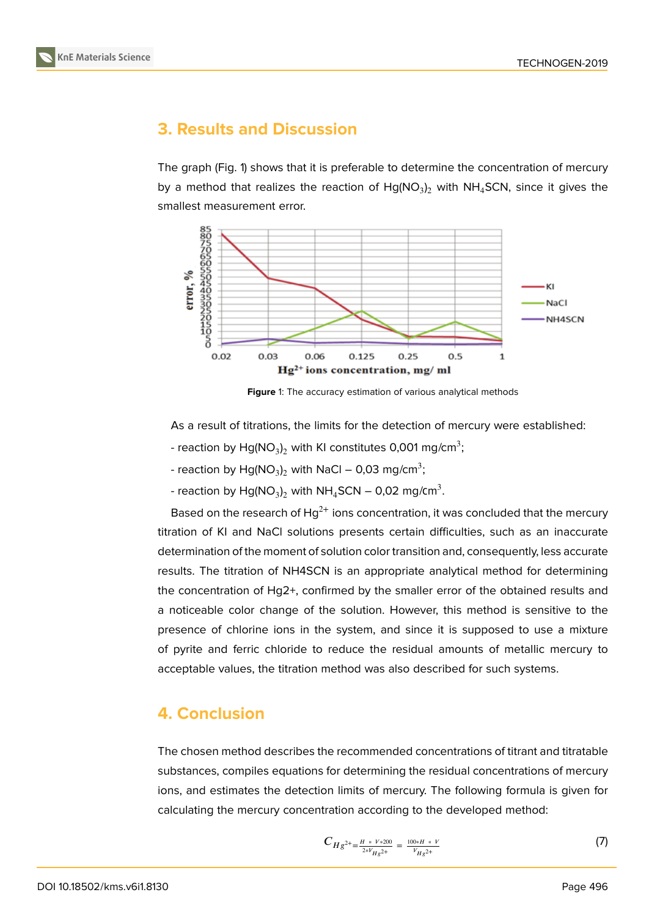

# **3. Results and Discussion**

The graph (Fig. 1) shows that it is preferable to determine the concentration of mercury by a method that realizes the reaction of  $\mathsf{Hg}(\mathsf{NO}_3)_2$  with  $\mathsf{NH}_4\mathsf{SCN},$  since it gives the smallest measurement error.



**Figure** 1: The accuracy estimation of various analytical methods

As a result of titrations, the limits for the detection of mercury were established:

- reaction by  $\mathsf{Hg}(\mathsf{NO}_3)_2$  with KI constitutes 0,001 mg/cm $^3;$
- reaction by  $\mathsf{Hg}(\mathsf{NO}_3)_2$  with  $\mathsf{NaCl}-\mathsf{0,03}$  mg/cm $^3;$
- reaction by  $\text{Hg}(\text{NO}_3)_2$  with  $\text{NH}_4\text{SCN} \text{O}$ ,02 mg/cm $^3$ .

Based on the research of  $Hg^{2+}$  ions concentration, it was concluded that the mercury titration of KI and NaCl solutions presents certain difficulties, such as an inaccurate determination of the moment of solution color transition and, consequently, less accurate results. The titration of NH4SCN is an appropriate analytical method for determining the concentration of Hg2+, confirmed by the smaller error of the obtained results and a noticeable color change of the solution. However, this method is sensitive to the presence of chlorine ions in the system, and since it is supposed to use a mixture of pyrite and ferric chloride to reduce the residual amounts of metallic mercury to acceptable values, the titration method was also described for such systems.

## **4. Conclusion**

The chosen method describes the recommended concentrations of titrant and titratable substances, compiles equations for determining the residual concentrations of mercury ions, and estimates the detection limits of mercury. The following formula is given for calculating the mercury concentration according to the developed method:

$$
C_{Hg^{2+}=\frac{H*V*200}{2*V_{Hg^{2+}}}=\frac{100*H*V}{V_{Hg^{2+}}}
$$
\n(7)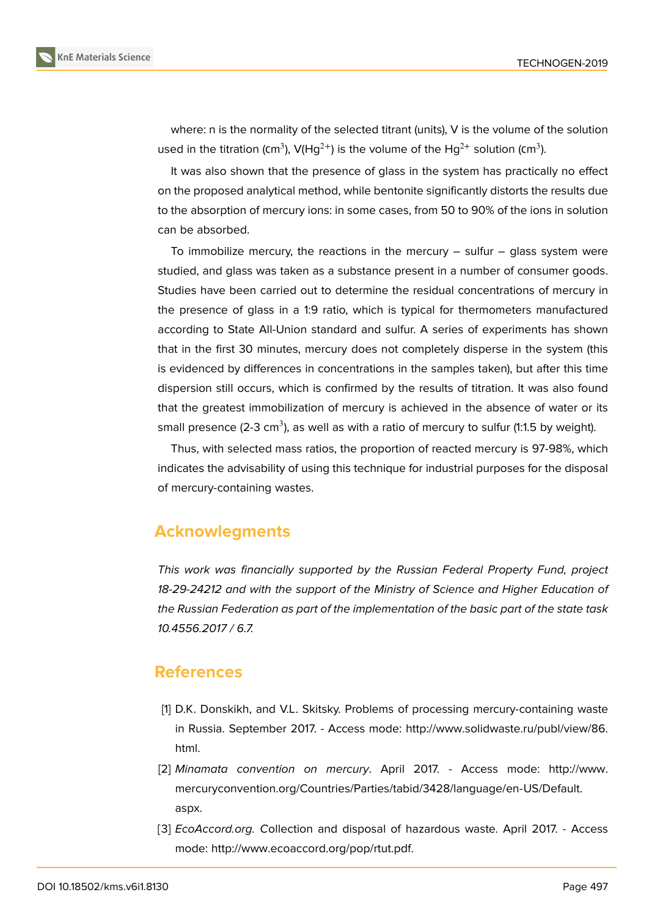where: n is the normality of the selected titrant (units), V is the volume of the solution used in the titration (cm $^3$ ), V(Hg $^{2+}$ ) is the volume of the Hg $^{2+}$  solution (cm $^3$ ).

It was also shown that the presence of glass in the system has practically no effect on the proposed analytical method, while bentonite significantly distorts the results due to the absorption of mercury ions: in some cases, from 50 to 90% of the ions in solution can be absorbed.

To immobilize mercury, the reactions in the mercury  $-$  sulfur  $-$  glass system were studied, and glass was taken as a substance present in a number of consumer goods. Studies have been carried out to determine the residual concentrations of mercury in the presence of glass in a 1:9 ratio, which is typical for thermometers manufactured according to State All-Union standard and sulfur. A series of experiments has shown that in the first 30 minutes, mercury does not completely disperse in the system (this is evidenced by differences in concentrations in the samples taken), but after this time dispersion still occurs, which is confirmed by the results of titration. It was also found that the greatest immobilization of mercury is achieved in the absence of water or its small presence (2-3 cm $^3$ ), as well as with a ratio of mercury to sulfur (1:1.5 by weight).

Thus, with selected mass ratios, the proportion of reacted mercury is 97-98%, which indicates the advisability of using this technique for industrial purposes for the disposal of mercury-containing wastes.

## **Acknowlegments**

*This work was financially supported by the Russian Federal Property Fund, project 18-29-24212 and with the support of the Ministry of Science and Higher Education of the Russian Federation as part of the implementation of the basic part of the state task 10.4556.2017 / 6.7.*

#### **References**

- [1] D.K. Donskikh, and V.L. Skitsky. Problems of processing mercury-containing waste in Russia. September 2017. - Access mode: http://www.solidwaste.ru/publ/view/86. html.
- <span id="page-5-0"></span>[2] *Minamata convention on mercury*. April 2017. - Access mode: http://www. mercuryconvention.org/Countries/Parties/ta[bid/3428/language/en-US/Default.](http://www.solidwaste.ru/publ/view/86.html.) [aspx.](http://www.solidwaste.ru/publ/view/86.html.)
- <span id="page-5-2"></span><span id="page-5-1"></span>[3] *EcoAccord.org. C*ollection and disposal of hazardous waste. April 20[17. - Access](http://www.mercuryconvention.org/Countries/Parties/tabid/3428/language/en-US/Default.aspx.) mode: [http://www.ecoaccord.org/pop/rtut.pdf.](http://www.mercuryconvention.org/Countries/Parties/tabid/3428/language/en-US/Default.aspx.)